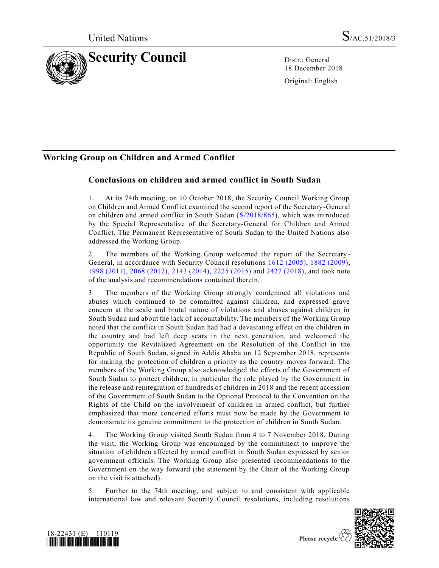

18 December 2018

Original: English

# **Working Group on Children and Armed Conflict**

## **Conclusions on children and armed conflict in South Sudan**

1. At its 74th meeting, on 10 October 2018, the Security Council Working Group on Children and Armed Conflict examined the second report of the Secretary-General on children and armed conflict in South Sudan [\(S/2018/865\)](https://undocs.org/S/2018/865), which was introduced by the Special Representative of the Secretary-General for Children and Armed Conflict. The Permanent Representative of South Sudan to the United Nations also addressed the Working Group.

2. The members of the Working Group welcomed the report of the Secretary-General, in accordance with Security Council resolutions [1612 \(2005\),](https://undocs.org/S/RES/1612(2005)) [1882 \(2009\),](https://undocs.org/S/RES/1882(2009)) [1998 \(2011\),](https://undocs.org/S/RES/1998(2011)) [2068 \(2012\),](https://undocs.org/S/RES/2068(2012)) [2143 \(2014\),](https://undocs.org/S/RES/2143(2014)) [2225 \(2015\)](https://undocs.org/S/RES/2225(2015)) and [2427 \(2018\),](https://undocs.org/S/RES/2427(2018)) and took note of the analysis and recommendations contained therein.

3. The members of the Working Group strongly condemned all violations and abuses which continued to be committed against children, and expressed grave concern at the scale and brutal nature of violations and abuses against children in South Sudan and about the lack of accountability. The members of the Working Group noted that the conflict in South Sudan had had a devastating effect on the children in the country and had left deep scars in the next generation, and welcomed the opportunity the Revitalized Agreement on the Resolution of the Conflict in the Republic of South Sudan, signed in Addis Ababa on 12 September 2018, represents for making the protection of children a priority as the country moves forward. The members of the Working Group also acknowledged the efforts of the Government of South Sudan to protect children, in particular the role played by the Government in the release and reintegration of hundreds of children in 2018 and the recent accession of the Government of South Sudan to the Optional Protocol to the Convention on the Rights of the Child on the involvement of children in armed conflict, but further emphasized that more concerted efforts must now be made by the Government to demonstrate its genuine commitment to the protection of children in South Sudan.

4. The Working Group visited South Sudan from 4 to 7 November 2018. During the visit, the Working Group was encouraged by the commitment to improve the situation of children affected by armed conflict in South Sudan expressed by senior government officials. The Working Group also presented recommendations to the Government on the way forward (the statement by the Chair of the Working Group on the visit is attached).

5. Further to the 74th meeting, and subject to and consistent with applicable international law and relevant Security Council resolutions, including resolutions



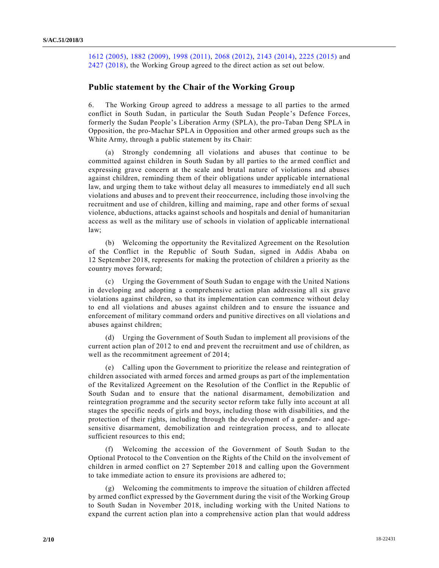[1612 \(2005\),](https://undocs.org/S/RES/1612(2005)) [1882 \(2009\),](https://undocs.org/S/RES/1882(2009)) [1998 \(2011\),](https://undocs.org/S/RES/1998(2011)) [2068 \(2012\),](https://undocs.org/S/RES/2068(2012)) [2143 \(2014\),](https://undocs.org/S/RES/2143(2014)) [2225 \(2015\)](https://undocs.org/S/RES/2225(2015)) and [2427 \(2018\),](https://undocs.org/S/RES/2427(2018)) the Working Group agreed to the direct action as set out below.

### **Public statement by the Chair of the Working Group**

6. The Working Group agreed to address a message to all parties to the armed conflict in South Sudan, in particular the South Sudan People's Defence Forces, formerly the Sudan People's Liberation Army (SPLA), the pro-Taban Deng SPLA in Opposition, the pro-Machar SPLA in Opposition and other armed groups such as the White Army, through a public statement by its Chair:

(a) Strongly condemning all violations and abuses that continue to be committed against children in South Sudan by all parties to the armed conflict and expressing grave concern at the scale and brutal nature of violations and abuses against children, reminding them of their obligations under applicable international law, and urging them to take without delay all measures to immediately end all such violations and abuses and to prevent their reoccurrence, including those involving the recruitment and use of children, killing and maiming, rape and other forms of sexual violence, abductions, attacks against schools and hospitals and denial of humanitarian access as well as the military use of schools in violation of applicable international law;

(b) Welcoming the opportunity the Revitalized Agreement on the Resolution of the Conflict in the Republic of South Sudan, signed in Addis Ababa on 12 September 2018, represents for making the protection of children a priority as the country moves forward;

(c) Urging the Government of South Sudan to engage with the United Nations in developing and adopting a comprehensive action plan addressing all six grave violations against children, so that its implementation can commence without delay to end all violations and abuses against children and to ensure the issuance and enforcement of military command orders and punitive directives on all violations and abuses against children;

(d) Urging the Government of South Sudan to implement all provisions of the current action plan of 2012 to end and prevent the recruitment and use of children, as well as the recommitment agreement of 2014;

(e) Calling upon the Government to prioritize the release and reintegration of children associated with armed forces and armed groups as part of the implementation of the Revitalized Agreement on the Resolution of the Conflict in the Republic of South Sudan and to ensure that the national disarmament, demobilization and reintegration programme and the security sector reform take fully into account at all stages the specific needs of girls and boys, including those with disabilities, and the protection of their rights, including through the development of a gender- and agesensitive disarmament, demobilization and reintegration process, and to allocate sufficient resources to this end;

(f) Welcoming the accession of the Government of South Sudan to the Optional Protocol to the Convention on the Rights of the Child on the involvement of children in armed conflict on 27 September 2018 and calling upon the Government to take immediate action to ensure its provisions are adhered to;

(g) Welcoming the commitments to improve the situation of children affected by armed conflict expressed by the Government during the visit of the Working Group to South Sudan in November 2018, including working with the United Nations to expand the current action plan into a comprehensive action plan that would address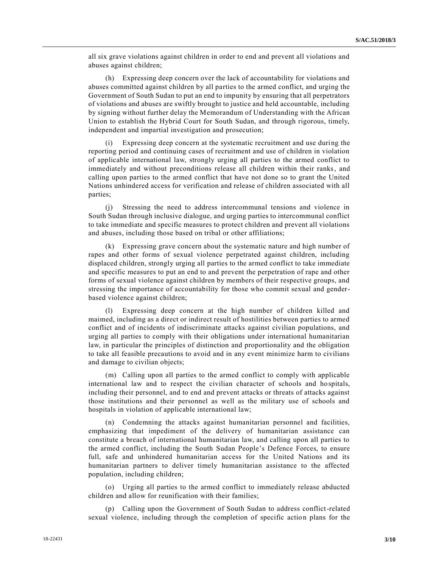all six grave violations against children in order to end and prevent all violations and abuses against children;

(h) Expressing deep concern over the lack of accountability for violations and abuses committed against children by all parties to the armed conflict, and urging the Government of South Sudan to put an end to impunity by ensuring that all perpetrators of violations and abuses are swiftly brought to justice and held accountable, including by signing without further delay the Memorandum of Understanding with the African Union to establish the Hybrid Court for South Sudan, and through rigorous, timely, independent and impartial investigation and prosecution;

(i) Expressing deep concern at the systematic recruitment and use during the reporting period and continuing cases of recruitment and use of children in violation of applicable international law, strongly urging all parties to the armed conflict to immediately and without preconditions release all children within their ranks, and calling upon parties to the armed conflict that have not done so to grant the United Nations unhindered access for verification and release of children associated with all parties;

(j) Stressing the need to address intercommunal tensions and violence in South Sudan through inclusive dialogue, and urging parties to intercommunal conflict to take immediate and specific measures to protect children and prevent all violations and abuses, including those based on tribal or other affiliations;

(k) Expressing grave concern about the systematic nature and high number of rapes and other forms of sexual violence perpetrated against children, including displaced children, strongly urging all parties to the armed conflict to take immediate and specific measures to put an end to and prevent the perpetration of rape and other forms of sexual violence against children by members of their respective groups, and stressing the importance of accountability for those who commit sexual and genderbased violence against children;

(l) Expressing deep concern at the high number of children killed and maimed, including as a direct or indirect result of hostilities between parties to armed conflict and of incidents of indiscriminate attacks against civilian populations, and urging all parties to comply with their obligations under international humanitarian law, in particular the principles of distinction and proportionality and the obligation to take all feasible precautions to avoid and in any event minimize harm to civilians and damage to civilian objects;

(m) Calling upon all parties to the armed conflict to comply with applicable international law and to respect the civilian character of schools and ho spitals, including their personnel, and to end and prevent attacks or threats of attacks against those institutions and their personnel as well as the military use of schools and hospitals in violation of applicable international law;

(n) Condemning the attacks against humanitarian personnel and facilities, emphasizing that impediment of the delivery of humanitarian assistance can constitute a breach of international humanitarian law, and calling upon all parties to the armed conflict, including the South Sudan People's Defence Forces, to ensure full, safe and unhindered humanitarian access for the United Nations and its humanitarian partners to deliver timely humanitarian assistance to the affected population, including children;

(o) Urging all parties to the armed conflict to immediately release abducted children and allow for reunification with their families;

(p) Calling upon the Government of South Sudan to address conflict-related sexual violence, including through the completion of specific action plans for the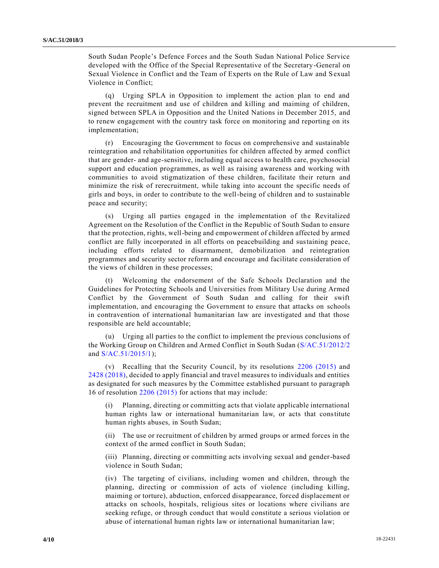South Sudan People's Defence Forces and the South Sudan National Police Service developed with the Office of the Special Representative of the Secretary-General on Sexual Violence in Conflict and the Team of Experts on the Rule of Law and Sexual Violence in Conflict;

(q) Urging SPLA in Opposition to implement the action plan to end and prevent the recruitment and use of children and killing and maiming of children, signed between SPLA in Opposition and the United Nations in December 2015, and to renew engagement with the country task force on monitoring and reporting on its implementation;

(r) Encouraging the Government to focus on comprehensive and sustainable reintegration and rehabilitation opportunities for children affected by armed conflict that are gender- and age-sensitive, including equal access to health care, psychosocial support and education programmes, as well as raising awareness and working with communities to avoid stigmatization of these children, facilitate their return and minimize the risk of rerecruitment, while taking into account the specific needs of girls and boys, in order to contribute to the well-being of children and to sustainable peace and security;

(s) Urging all parties engaged in the implementation of the Revitalized Agreement on the Resolution of the Conflict in the Republic of South Sudan to ensure that the protection, rights, well-being and empowerment of children affected by armed conflict are fully incorporated in all efforts on peacebuilding and sustaining peace, including efforts related to disarmament, demobilization and reintegration programmes and security sector reform and encourage and facilitate consideration of the views of children in these processes;

(t) Welcoming the endorsement of the Safe Schools Declaration and the Guidelines for Protecting Schools and Universities from Military Use during Armed Conflict by the Government of South Sudan and calling for their swift implementation, and encouraging the Government to ensure that attacks on schools in contravention of international humanitarian law are investigated and that those responsible are held accountable;

(u) Urging all parties to the conflict to implement the previous conclusions of the Working Group on Children and Armed Conflict in South Sudan [\(S/AC.51/2012/2](https://undocs.org/S/AC.51/2012/2) and [S/AC.51/2015/1\)](https://undocs.org/S/AC.51/2015/1);

(v) Recalling that the Security Council, by its resolutions [2206 \(2015\)](https://undocs.org/S/RES/2206(2015)) and [2428 \(2018\),](https://undocs.org/S/RES/2428(2018)) decided to apply financial and travel measures to individuals and entities as designated for such measures by the Committee established pursuant to paragraph 16 of resolution [2206 \(2015\)](https://undocs.org/S/RES/2206(2015)) for actions that may include:

(i) Planning, directing or committing acts that violate applicable international human rights law or international humanitarian law, or acts that constitute human rights abuses, in South Sudan;

(ii) The use or recruitment of children by armed groups or armed forces in the context of the armed conflict in South Sudan;

(iii) Planning, directing or committing acts involving sexual and gender-based violence in South Sudan;

(iv) The targeting of civilians, including women and children, through the planning, directing or commission of acts of violence (including killing, maiming or torture), abduction, enforced disappearance, forced displacement or attacks on schools, hospitals, religious sites or locations where civilians are seeking refuge, or through conduct that would constitute a serious violation or abuse of international human rights law or international humanitarian law;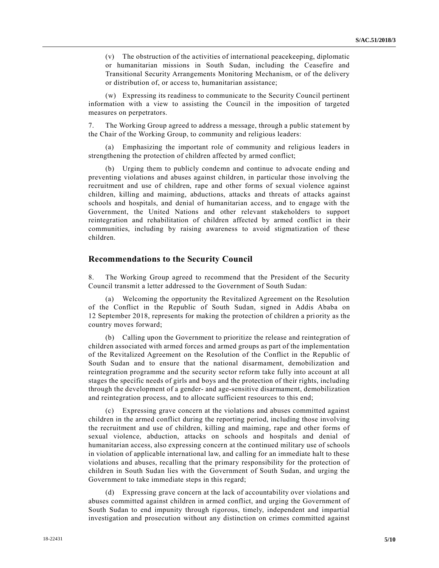(v) The obstruction of the activities of international peacekeeping, diplomatic or humanitarian missions in South Sudan, including the Ceasefire and Transitional Security Arrangements Monitoring Mechanism, or of the delivery or distribution of, or access to, humanitarian assistance;

(w) Expressing its readiness to communicate to the Security Council pertinent information with a view to assisting the Council in the imposition of targeted measures on perpetrators.

7. The Working Group agreed to address a message, through a public statement by the Chair of the Working Group, to community and religious leaders:

Emphasizing the important role of community and religious leaders in strengthening the protection of children affected by armed conflict;

(b) Urging them to publicly condemn and continue to advocate ending and preventing violations and abuses against children, in particular those involving the recruitment and use of children, rape and other forms of sexual violence against children, killing and maiming, abductions, attacks and threats of attacks against schools and hospitals, and denial of humanitarian access, and to engage with the Government, the United Nations and other relevant stakeholders to support reintegration and rehabilitation of children affected by armed conflict in their communities, including by raising awareness to avoid stigmatization of these children.

#### **Recommendations to the Security Council**

8. The Working Group agreed to recommend that the President of the Security Council transmit a letter addressed to the Government of South Sudan:

(a) Welcoming the opportunity the Revitalized Agreement on the Resolution of the Conflict in the Republic of South Sudan, signed in Addis Ababa on 12 September 2018, represents for making the protection of children a priority as the country moves forward;

(b) Calling upon the Government to prioritize the release and reintegration of children associated with armed forces and armed groups as part of the implementation of the Revitalized Agreement on the Resolution of the Conflict in the Republic of South Sudan and to ensure that the national disarmament, demobilization and reintegration programme and the security sector reform take fully into account at all stages the specific needs of girls and boys and the protection of their rights, including through the development of a gender- and age-sensitive disarmament, demobilization and reintegration process, and to allocate sufficient resources to this end;

(c) Expressing grave concern at the violations and abuses committed against children in the armed conflict during the reporting period, including those involving the recruitment and use of children, killing and maiming, rape and other forms of sexual violence, abduction, attacks on schools and hospitals and denial of humanitarian access, also expressing concern at the continued military use of schools in violation of applicable international law, and calling for an immediate halt to these violations and abuses, recalling that the primary responsibility for the protection of children in South Sudan lies with the Government of South Sudan, and urging the Government to take immediate steps in this regard;

(d) Expressing grave concern at the lack of accountability over violations and abuses committed against children in armed conflict, and urging the Government of South Sudan to end impunity through rigorous, timely, independent and impartial investigation and prosecution without any distinction on crimes committed against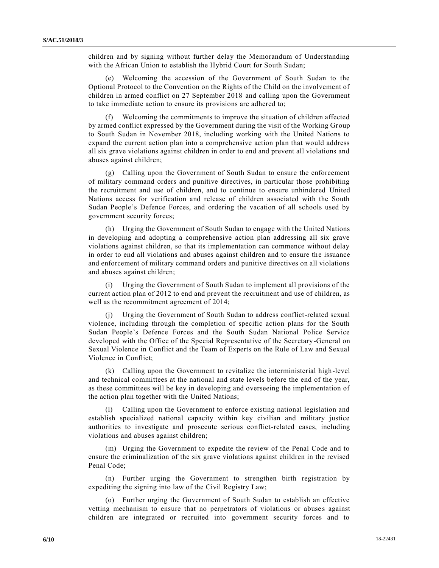children and by signing without further delay the Memorandum of Understanding with the African Union to establish the Hybrid Court for South Sudan;

(e) Welcoming the accession of the Government of South Sudan to the Optional Protocol to the Convention on the Rights of the Child on the involvement of children in armed conflict on 27 September 2018 and calling upon the Government to take immediate action to ensure its provisions are adhered to;

(f) Welcoming the commitments to improve the situation of children affected by armed conflict expressed by the Government during the visit of the Working Group to South Sudan in November 2018, including working with the United Nations to expand the current action plan into a comprehensive action plan that would address all six grave violations against children in order to end and prevent all violations and abuses against children;

(g) Calling upon the Government of South Sudan to ensure the enforcement of military command orders and punitive directives, in particular those prohibiting the recruitment and use of children, and to continue to ensure unhindered United Nations access for verification and release of children associated with the South Sudan People's Defence Forces, and ordering the vacation of all schools used by government security forces;

(h) Urging the Government of South Sudan to engage with the United Nations in developing and adopting a comprehensive action plan addressing all six grave violations against children, so that its implementation can commence without delay in order to end all violations and abuses against children and to ensure the issuance and enforcement of military command orders and punitive directives on all violations and abuses against children;

(i) Urging the Government of South Sudan to implement all provisions of the current action plan of 2012 to end and prevent the recruitment and use of children, as well as the recommitment agreement of 2014;

(j) Urging the Government of South Sudan to address conflict-related sexual violence, including through the completion of specific action plans for the South Sudan People's Defence Forces and the South Sudan National Police Service developed with the Office of the Special Representative of the Secretary-General on Sexual Violence in Conflict and the Team of Experts on the Rule of Law and Sexual Violence in Conflict;

(k) Calling upon the Government to revitalize the interministerial high-level and technical committees at the national and state levels before the end of the year, as these committees will be key in developing and overseeing the implementation of the action plan together with the United Nations;

(l) Calling upon the Government to enforce existing national legislation and establish specialized national capacity within key civilian and military justice authorities to investigate and prosecute serious conflict-related cases, including violations and abuses against children;

(m) Urging the Government to expedite the review of the Penal Code and to ensure the criminalization of the six grave violations against children in the revised Penal Code;

(n) Further urging the Government to strengthen birth registration by expediting the signing into law of the Civil Registry Law;

(o) Further urging the Government of South Sudan to establish an effective vetting mechanism to ensure that no perpetrators of violations or abuses against children are integrated or recruited into government security forces and to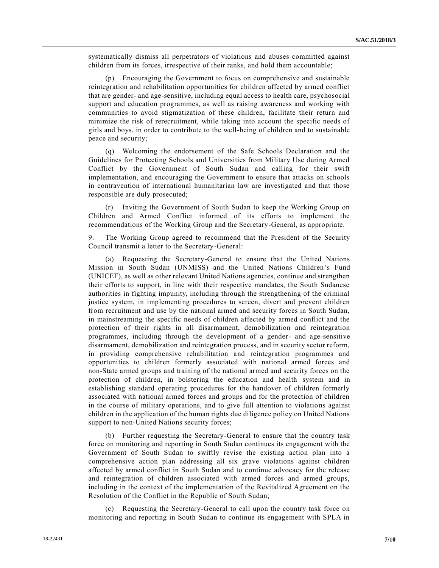systematically dismiss all perpetrators of violations and abuses committed against children from its forces, irrespective of their ranks, and hold them accountable;

(p) Encouraging the Government to focus on comprehensive and sustainable reintegration and rehabilitation opportunities for children affected by armed conflict that are gender- and age-sensitive, including equal access to health care, psychosocial support and education programmes, as well as raising awareness and working with communities to avoid stigmatization of these children, facilitate their return and minimize the risk of rerecruitment, while taking into account the specific needs of girls and boys, in order to contribute to the well-being of children and to sustainable peace and security;

(q) Welcoming the endorsement of the Safe Schools Declaration and the Guidelines for Protecting Schools and Universities from Military Use during Armed Conflict by the Government of South Sudan and calling for their swift implementation, and encouraging the Government to ensure that attacks on schools in contravention of international humanitarian law are investigated and that those responsible are duly prosecuted;

(r) Inviting the Government of South Sudan to keep the Working Group on Children and Armed Conflict informed of its efforts to implement the recommendations of the Working Group and the Secretary-General, as appropriate.

9. The Working Group agreed to recommend that the President of the Security Council transmit a letter to the Secretary-General:

Requesting the Secretary-General to ensure that the United Nations Mission in South Sudan (UNMISS) and the United Nations Children's Fund (UNICEF), as well as other relevant United Nations agencies, continue and strengthen their efforts to support, in line with their respective mandates, the South Sudanese authorities in fighting impunity, including through the strengthening of the criminal justice system, in implementing procedures to screen, divert and prevent children from recruitment and use by the national armed and security forces in South Sudan, in mainstreaming the specific needs of children affected by armed conflict and the protection of their rights in all disarmament, demobilization and reintegration programmes, including through the development of a gender- and age-sensitive disarmament, demobilization and reintegration process, and in security sector reform, in providing comprehensive rehabilitation and reintegration programmes and opportunities to children formerly associated with national armed forces and non-State armed groups and training of the national armed and security forces on the protection of children, in bolstering the education and health system and in establishing standard operating procedures for the handover of children formerly associated with national armed forces and groups and for the protection of children in the course of military operations, and to give full attention to violations against children in the application of the human rights due diligence policy on United Nations support to non-United Nations security forces;

(b) Further requesting the Secretary-General to ensure that the country task force on monitoring and reporting in South Sudan continues its engagement with the Government of South Sudan to swiftly revise the existing action plan into a comprehensive action plan addressing all six grave violations against children affected by armed conflict in South Sudan and to continue advocacy for the release and reintegration of children associated with armed forces and armed groups, including in the context of the implementation of the Revitalized Agreement on the Resolution of the Conflict in the Republic of South Sudan;

(c) Requesting the Secretary-General to call upon the country task force on monitoring and reporting in South Sudan to continue its engagement with SPLA in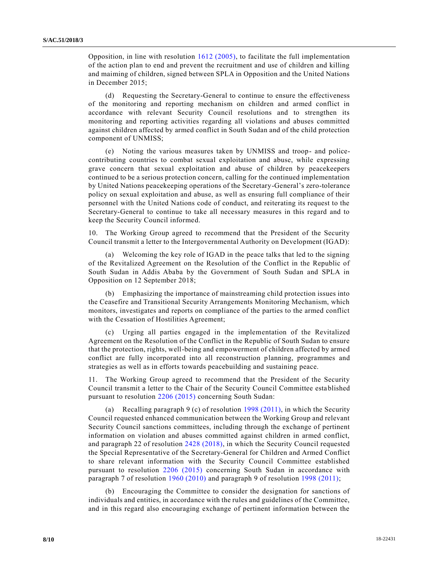Opposition, in line with resolution [1612 \(2005\),](https://undocs.org/S/RES/1612(2005)) to facilitate the full implementation of the action plan to end and prevent the recruitment and use of children and killing and maiming of children, signed between SPLA in Opposition and the United Nations in December 2015;

(d) Requesting the Secretary-General to continue to ensure the effectiveness of the monitoring and reporting mechanism on children and armed conflict in accordance with relevant Security Council resolutions and to strengthen its monitoring and reporting activities regarding all violations and abuses committed against children affected by armed conflict in South Sudan and of the child protection component of UNMISS;

(e) Noting the various measures taken by UNMISS and troop- and policecontributing countries to combat sexual exploitation and abuse, while expressing grave concern that sexual exploitation and abuse of children by peacekeepers continued to be a serious protection concern, calling for the continued implementation by United Nations peacekeeping operations of the Secretary-General's zero-tolerance policy on sexual exploitation and abuse, as well as ensuring full compliance of their personnel with the United Nations code of conduct, and reiterating its request to the Secretary-General to continue to take all necessary measures in this regard and to keep the Security Council informed.

10. The Working Group agreed to recommend that the President of the Security Council transmit a letter to the Intergovernmental Authority on Development (IGAD):

Welcoming the key role of IGAD in the peace talks that led to the signing of the Revitalized Agreement on the Resolution of the Conflict in the Republic of South Sudan in Addis Ababa by the Government of South Sudan and SPLA in Opposition on 12 September 2018;

(b) Emphasizing the importance of mainstreaming child protection issues into the Ceasefire and Transitional Security Arrangements Monitoring Mechanism, which monitors, investigates and reports on compliance of the parties to the armed conflict with the Cessation of Hostilities Agreement;

(c) Urging all parties engaged in the implementation of the Revitalized Agreement on the Resolution of the Conflict in the Republic of South Sudan to ensure that the protection, rights, well-being and empowerment of children affected by armed conflict are fully incorporated into all reconstruction planning, programmes and strategies as well as in efforts towards peacebuilding and sustaining peace.

11. The Working Group agreed to recommend that the President of the Security Council transmit a letter to the Chair of the Security Council Committee esta blished pursuant to resolution [2206 \(2015\)](https://undocs.org/S/RES/2206(2015)) concerning South Sudan:

(a) Recalling paragraph 9 (c) of resolution [1998 \(2011\),](https://undocs.org/S/RES/1998(2011)) in which the Security Council requested enhanced communication between the Working Group and relevant Security Council sanctions committees, including through the exchange of pertinent information on violation and abuses committed against children in armed conflict, and paragraph 22 of resolution [2428 \(2018\),](https://undocs.org/S/RES/2428(2018)) in which the Security Council requested the Special Representative of the Secretary-General for Children and Armed Conflict to share relevant information with the Security Council Committee established pursuant to resolution [2206 \(2015\)](https://undocs.org/S/RES/2206(2015)) concerning South Sudan in accordance with paragraph 7 of resolution [1960 \(2010\)](https://undocs.org/S/RES/1960(2010)) and paragraph 9 of resolution [1998 \(2011\);](https://undocs.org/S/RES/1998(2011))

(b) Encouraging the Committee to consider the designation for sanctions of individuals and entities, in accordance with the rules and guidelines of the Committee, and in this regard also encouraging exchange of pertinent information between the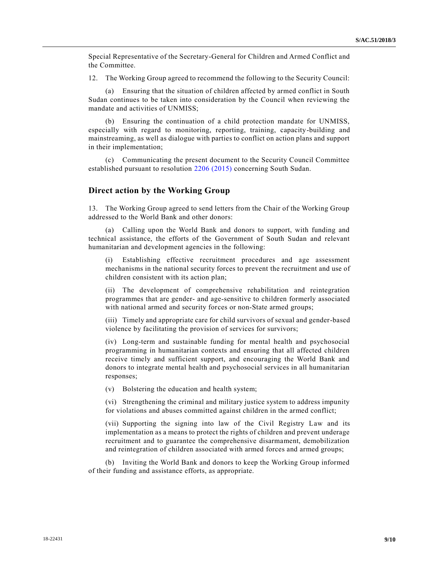Special Representative of the Secretary-General for Children and Armed Conflict and the Committee.

12. The Working Group agreed to recommend the following to the Security Council:

(a) Ensuring that the situation of children affected by armed conflict in South Sudan continues to be taken into consideration by the Council when reviewing the mandate and activities of UNMISS;

(b) Ensuring the continuation of a child protection mandate for UNMISS, especially with regard to monitoring, reporting, training, capacity-building and mainstreaming, as well as dialogue with parties to conflict on action plans and support in their implementation;

(c) Communicating the present document to the Security Council Committee established pursuant to resolution [2206 \(2015\)](https://undocs.org/S/RES/2206(2015)) concerning South Sudan.

#### **Direct action by the Working Group**

13. The Working Group agreed to send letters from the Chair of the Working Group addressed to the World Bank and other donors:

(a) Calling upon the World Bank and donors to support, with funding and technical assistance, the efforts of the Government of South Sudan and relevant humanitarian and development agencies in the following:

(i) Establishing effective recruitment procedures and age assessment mechanisms in the national security forces to prevent the recruitment and use of children consistent with its action plan;

(ii) The development of comprehensive rehabilitation and reintegration programmes that are gender- and age-sensitive to children formerly associated with national armed and security forces or non-State armed groups;

(iii) Timely and appropriate care for child survivors of sexual and gender-based violence by facilitating the provision of services for survivors;

(iv) Long-term and sustainable funding for mental health and psychosocial programming in humanitarian contexts and ensuring that all affected children receive timely and sufficient support, and encouraging the World Bank and donors to integrate mental health and psychosocial services in all humanitarian responses;

(v) Bolstering the education and health system;

(vi) Strengthening the criminal and military justice system to address impunity for violations and abuses committed against children in the armed conflict;

(vii) Supporting the signing into law of the Civil Registry Law and its implementation as a means to protect the rights of children and prevent underage recruitment and to guarantee the comprehensive disarmament, demobilization and reintegration of children associated with armed forces and armed groups;

(b) Inviting the World Bank and donors to keep the Working Group informed of their funding and assistance efforts, as appropriate.